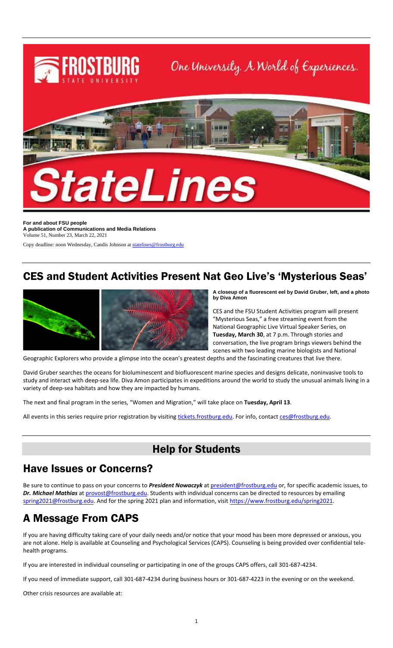

**For and about FSU people A publication of Communications and Media Relations** Volume 51, Number 23, March 22, 2021

Copy deadline: noon Wednesday, Candis Johnson a[t statelines@frostburg.edu](mailto:statelines@frostburg.edu)

# CES and Student Activities Present Nat Geo Live's 'Mysterious Seas'



**A closeup of a fluorescent eel by David Gruber, left, and a photo by Diva Amon**

CES and the FSU Student Activities program will present "Mysterious Seas," a free streaming event from the National Geographic Live Virtual Speaker Series, on **Tuesday, March 30**, at 7 p.m. Through stories and conversation, the live program brings viewers behind the scenes with two leading marine biologists and National

Geographic Explorers who provide a glimpse into the ocean's greatest depths and the fascinating creatures that live there.

David Gruber searches the oceans for bioluminescent and biofluorescent marine species and designs delicate, noninvasive tools to study and interact with deep-sea life. Diva Amon participates in expeditions around the world to study the unusual animals living in a variety of deep-sea habitats and how they are impacted by humans.

The next and final program in the series, "Women and Migration," will take place on **Tuesday, April 13**.

All events in this series require prior registration by visiting [tickets.frostburg.edu.](https://frostburgtix.universitytickets.com/) For info, contac[t ces@frostburg.edu.](mailto:ces@frostburg.edu)

# Help for Students

### Have Issues or Concerns?

Be sure to continue to pass on your concerns to *President Nowaczyk* at [president@frostburg.edu](mailto:president@frostburg.edu) or, for specific academic issues, to Dr. Michael Mathias a[t provost@frostburg.edu.](mailto:provost@frostburg.edu) Students with individual concerns can be directed to resources by emailing [spring2021@frostburg.edu.](mailto:spring2021@frostburg.edu) And for the spring 2021 plan and information, visit https://www.frostburg.edu/spring2021.

# A Message From CAPS

If you are having difficulty taking care of your daily needs and/or notice that your mood has been more depressed or anxious, you are not alone. Help is available at Counseling and Psychological Services (CAPS). Counseling is being provided over confidential telehealth programs.

If you are interested in individual counseling or participating in one of the groups CAPS offers, call 301-687-4234.

If you need of immediate support, call 301-687-4234 during business hours or 301-687-4223 in the evening or on the weekend.

Other crisis resources are available at: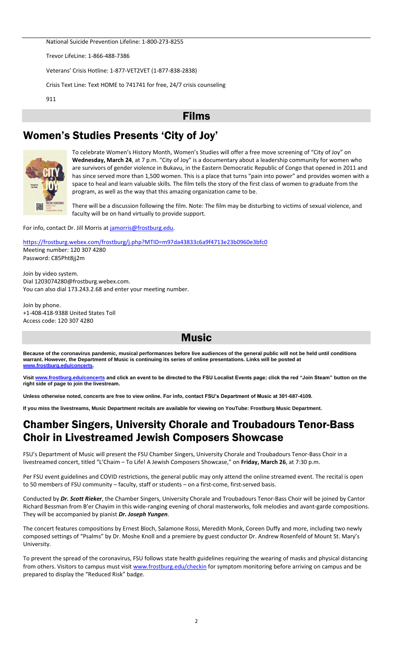National Suicide Prevention Lifeline: 1-800-273-8255

Trevor LifeLine: 1-866-488-7386

Veterans' Crisis Hotline: 1-877-VET2VET (1-877-838-2838)

Crisis Text Line: Text HOME to 741741 for free, 24/7 crisis counseling

911

#### Films

# Women's Studies Presents 'City of Joy'



To celebrate Women's History Month, Women's Studies will offer a free move screening of "City of Joy" on **Wednesday, March 24**, at 7 p.m. "City of Joy" is a documentary about a leadership community for women who are survivors of gender violence in Bukavu, in the Eastern Democratic Republic of Congo that opened in 2011 and has since served more than 1,500 women. This is a place that turns "pain into power" and provides women with a space to heal and learn valuable skills. The film tells the story of the first class of women to graduate from the program, as well as the way that this amazing organization came to be.

There will be a discussion following the film. Note: The film may be disturbing to victims of sexual violence, and faculty will be on hand virtually to provide support.

For info, contact Dr. Jill Morris at [jamorris@frostburg.edu.](mailto:jamorris@frostburg.edu)

<https://frostburg.webex.com/frostburg/j.php?MTID=m97da43833c6a9f4713e23b0960e3bfc0> Meeting number: 120 307 4280 Password: C85Pht8jj2m

Join by video system. Dial 1203074280@frostburg.webex.com. You can also dial 173.243.2.68 and enter your meeting number.

Join by phone. +1-408-418-9388 United States Toll Access code: 120 307 4280

### **Music**

**Because of the coronavirus pandemic, musical performances before live audiences of the general public will not be held until conditions warrant. However, the Department of Music is continuing its series of online presentations. Links will be posted at [www.frostburg.edu/concerts.](http://www.frostburg.edu/concerts)**

**Visit [www.frostburg.edu/concerts](http://www.frostburg.edu/concerts) and click an event to be directed to the FSU Localist Events page; click the red "Join Steam" button on the right side of page to join the livestream.**

**Unless otherwise noted, concerts are free to view online. For info, contact FSU's Department of Music at 301-687-4109.**

**If you miss the livestreams, Music Department recitals are available for viewing on YouTube: Frostburg Music Department.**

## Chamber Singers, University Chorale and Troubadours Tenor-Bass Choir in Livestreamed Jewish Composers Showcase

FSU's Department of Music will present the FSU Chamber Singers, University Chorale and Troubadours Tenor-Bass Choir in a livestreamed concert, titled "L'Chaim – To Life! A Jewish Composers Showcase," on **Friday, March 26**, at 7:30 p.m.

Per FSU event guidelines and COVID restrictions, the general public may only attend the online streamed event. The recital is open to 50 members of FSU community – faculty, staff or students – on a first-come, first-served basis.

Conducted by *Dr. Scott Rieker*, the Chamber Singers, University Chorale and Troubadours Tenor-Bass Choir will be joined by Cantor Richard Bessman from B'er Chayim in this wide-ranging evening of choral masterworks, folk melodies and avant-garde compositions. They will be accompanied by pianist *Dr. Joseph Yungen*.

The concert features compositions by Ernest Bloch, Salamone Rossi, Meredith Monk, Coreen Duffy and more, including two newly composed settings of "Psalms" by Dr. Moshe Knoll and a premiere by guest conductor Dr. Andrew Rosenfeld of Mount St. Mary's University.

To prevent the spread of the coronavirus, FSU follows state health guidelines requiring the wearing of masks and physical distancing from others. Visitors to campus must visi[t www.frostburg.edu/checkin](http://www.frostburg.edu/checkin) for symptom monitoring before arriving on campus and be prepared to display the "Reduced Risk" badge.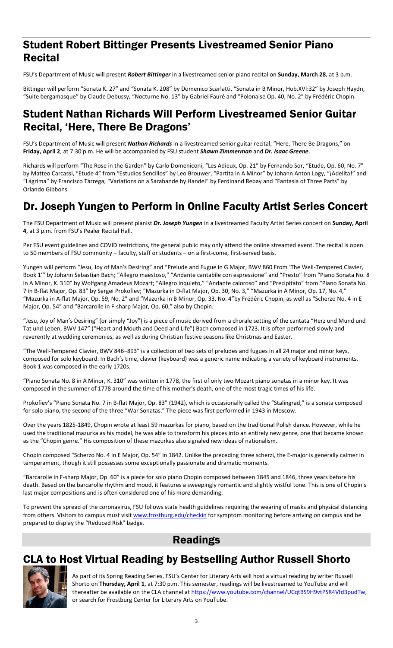# Student Robert Bittinger Presents Livestreamed Senior Piano Recital

FSU's Department of Music will present *Robert Bittinger* in a livestreamed senior piano recital on **Sunday, March 28**, at 3 p.m.

Bittinger will perform "Sonata K. 27" and "Sonata K. 208" by Domenico Scarlatti, "Sonata in B Minor, Hob.XVI:32" by Joseph Haydn, "Suite bergamasque" by Claude Debussy, "Nocturne No. 13" by Gabriel Fauré and "Polonaise Op. 40, No. 2" by Frédéric Chopin.

# Student Nathan Richards Will Perform Livestreamed Senior Guitar Recital, 'Here, There Be Dragons'

FSU's Department of Music will present *Nathan Richards* in a livestreamed senior guitar recital, "Here, There Be Dragons," on **Friday, April 2**, at 7:30 p.m. He will be accompanied by FSU student *Shawn Zimmerman* and *Dr. Isaac Greene*.

Richards will perform "The Rose in the Garden" by Carlo Domeniconi, "Les Adieux, Op. 21" by Fernando Sor, "Etude, Op. 60, No. 7" by Matteo Carcassi, "Etude 4" from "Estudios Sencillos" by Leo Brouwer, "Partita in A Minor" by Johann Anton Logy, "¡Adelita!" and "Lágrima" by Francisco Tárrega, "Variations on a Sarabande by Handel" by Ferdinand Rebay and "Fantasia of Three Parts" by Orlando Gibbons.

# Dr. Joseph Yungen to Perform in Online Faculty Artist Series Concert

The FSU Department of Music will present pianist *Dr. Joseph Yungen* in a livestreamed Faculty Artist Series concert on **Sunday, April 4**, at 3 p.m. from FSU's Pealer Recital Hall.

Per FSU event guidelines and COVID restrictions, the general public may only attend the online streamed event. The recital is open to 50 members of FSU community – faculty, staff or students – on a first-come, first-served basis.

Yungen will perform "Jesu, Joy of Man's Desiring" and "Prelude and Fugue in G Major, BWV 860 From 'The Well-Tempered Clavier, Book 1'" by Johann Sebastian Bach; "Allegro maestoso," "Andante cantabile con espressione" and "Presto" from "Piano Sonata No. 8 in A Minor, K. 310" by Wolfgang Amadeus Mozart; "Allegro inquieto," "Andante caloroso" and "Precipitato" from "Piano Sonata No. 7 in B-flat Major, Op. 83" by Sergei Prokofiev; "Mazurka in D-flat Major, Op. 30, No. 3," "Mazurka in A Minor, Op. 17, No. 4," "Mazurka in A-flat Major, Op. 59, No. 2" and "Mazurka in B Minor, Op. 33, No. 4"by Frédéric Chopin, as well as "Scherzo No. 4 in E Major, Op. 54" and "Barcarolle in F-sharp Major, Op. 60," also by Chopin.

"Jesu, Joy of Man's Desiring" (or simply "Joy") is a piece of music derived from a chorale setting of the cantata "Herz und Mund und Tat und Leben, BWV 147" ("Heart and Mouth and Deed and Life") Bach composed in 1723. It is often performed slowly and reverently at wedding ceremonies, as well as during Christian festive seasons like Christmas and Easter.

"The Well-Tempered Clavier, BWV 846–893" is a collection of two sets of preludes and fugues in all 24 major and minor keys, composed for solo keyboard. In Bach's time, clavier (keyboard) was a generic name indicating a variety of keyboard instruments. Book 1 was composed in the early 1720s.

"Piano Sonata No. 8 in A Minor, K. 310" was written in 1778, the first of only two Mozart piano sonatas in a minor key. It was composed in the summer of 1778 around the time of his mother's death, one of the most tragic times of his life.

Prokofiev's "Piano Sonata No. 7 in B-flat Major, Op. 83" (1942), which is occasionally called the "Stalingrad," is a sonata composed for solo piano, the second of the three "War Sonatas." The piece was first performed in 1943 in Moscow.

Over the years 1825-1849, Chopin wrote at least 59 mazurkas for piano, based on the traditional Polish dance. However, while he used the traditional mazurka as his model, he was able to transform his pieces into an entirely new genre, one that became known as the "Chopin genre." His composition of these mazurkas also signaled new ideas of nationalism.

Chopin composed "Scherzo No. 4 in E Major, Op. 54" in 1842. Unlike the preceding three scherzi, the E-major is generally calmer in temperament, though it still possesses some exceptionally passionate and dramatic moments.

"Barcarolle in F-sharp Major, Op. 60" is a piece for solo piano Chopin composed between 1845 and 1846, three years before his death. Based on the barcarolle rhythm and mood, it features a sweepingly romantic and slightly wistful tone. This is one of Chopin's last major compositions and is often considered one of his more demanding.

To prevent the spread of the coronavirus, FSU follows state health guidelines requiring the wearing of masks and physical distancing from others. Visitors to campus must visi[t www.frostburg.edu/checkin](http://www.frostburg.edu/checkin) for symptom monitoring before arriving on campus and be prepared to display the "Reduced Risk" badge.

# Readings

# CLA to Host Virtual Reading by Bestselling Author Russell Shorto



As part of its Spring Reading Series, FSU's Center for Literary Arts will host a virtual reading by writer Russell Shorto on **Thursday, April 1**, at 7:30 p.m. This semester, readings will be livestreamed to YouTube and will thereafter be available on the CLA channel at [https://www.youtube.com/channel/UCqtBS9H9vtPSR4Vfd3pudTw,](https://www.youtube.com/channel/UCqtBS9H9vtPSR4Vfd3pudTw) or search for Frostburg Center for Literary Arts on YouTube.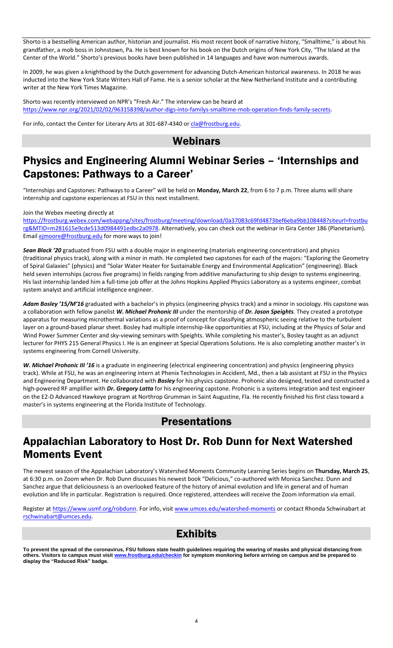Shorto is a bestselling American author, historian and journalist. His most recent book of narrative history, "Smalltime," is about his grandfather, a mob boss in Johnstown, Pa. He is best known for his book on the Dutch origins of New York City, "The Island at the Center of the World." Shorto's previous books have been published in 14 languages and have won numerous awards.

In 2009, he was given a knighthood by the Dutch government for advancing Dutch-American historical awareness. In 2018 he was inducted into the New York State Writers Hall of Fame. He is a senior scholar at the New Netherland Institute and a contributing writer at the New York Times Magazine.

Shorto was recently interviewed on NPR's "Fresh Air." The interview can be heard at [https://www.npr.org/2021/02/02/963158398/author-digs-into-familys-smalltime-mob-operation-finds-family-secrets.](https://www.npr.org/2021/02/02/963158398/author-digs-into-familys-smalltime-mob-operation-finds-family-secrets)

For info, contact the Center for Literary Arts at 301-687-4340 o[r cla@frostburg.edu.](mailto:cla@frostburg.edu)

### Webinars

### Physics and Engineering Alumni Webinar Series – 'Internships and Capstones: Pathways to a Career'

"Internships and Capstones: Pathways to a Career" will be held on **Monday, March 22**, from 6 to 7 p.m. Three alums will share internship and capstone experiences at FSU in this next installment.

Join the Webex meeting directly at

[https://frostburg.webex.com/webappng/sites/frostburg/meeting/download/0a37083c69fd4873bef6eba9bb108448?siteurl=frostbu](https://frostburg.webex.com/webappng/sites/frostburg/meeting/download/0a37083c69fd4873bef6eba9bb108448?siteurl=frostburg&MTID=m281615e9cde513d0984491edbc2a0978) [rg&MTID=m281615e9cde513d0984491edbc2a0978.](https://frostburg.webex.com/webappng/sites/frostburg/meeting/download/0a37083c69fd4873bef6eba9bb108448?siteurl=frostburg&MTID=m281615e9cde513d0984491edbc2a0978) Alternatively, you can check out the webinar in Gira Center 186 (Planetarium). Email **ejmoore@frostburg.edu** for more ways to join!

*Sean Black '20* graduated from FSU with a double major in engineering (materials engineering concentration) and physics (traditional physics track), along with a minor in math. He completed two capstones for each of the majors: "Exploring the Geometry of Spiral Galaxies" (physics) and "Solar Water Heater for Sustainable Energy and Environmental Application" (engineering). Black held seven internships (across five programs) in fields ranging from additive manufacturing to ship design to systems engineering. His last internship landed him a full-time job offer at the Johns Hopkins Applied Physics Laboratory as a systems engineer, combat system analyst and artificial intelligence engineer.

*Adam Bosley '15/M'16* graduated with a bachelor's in physics (engineering physics track) and a minor in sociology. His capstone was a collaboration with fellow panelist *W. Michael Prohonic III* under the mentorship of *Dr. Jason Speights*. They created a prototype apparatus for measuring microthermal variations as a proof of concept for classifying atmospheric seeing relative to the turbulent layer on a ground-based planar sheet. Bosley had multiple internship-like opportunities at FSU, including at the Physics of Solar and Wind Power Summer Center and sky-viewing seminars with Speights. While completing his master's, Bosley taught as an adjunct lecturer for PHYS 215 General Physics I. He is an engineer at Special Operations Solutions. He is also completing another master's in systems engineering from Cornell University.

W. Michael Prohonic III '16 is a graduate in engineering (electrical engineering concentration) and physics (engineering physics track). While at FSU, he was an engineering intern at Phenix Technologies in Accident, Md., then a lab assistant at FSU in the Physics and Engineering Department. He collaborated with *Bosley* for his physics capstone. Prohonic also designed, tested and constructed a high-powered RF amplifier with *Dr. Gregory Latta* for his engineering capstone. Prohonic is a systems integration and test engineer on the E2-D Advanced Hawkeye program at Northrop Grumman in Saint Augustine, Fla. He recently finished his first class toward a master's in systems engineering at the Florida Institute of Technology.

### **Presentations**

# Appalachian Laboratory to Host Dr. Rob Dunn for Next Watershed Moments Event

The newest season of the Appalachian Laboratory's Watershed Moments Community Learning Series begins on **Thursday, March 25**, at 6:30 p.m. on Zoom when Dr. Rob Dunn discusses his newest book "Delicious," co-authored with Monica Sanchez. Dunn and Sanchez argue that deliciousness is an overlooked feature of the history of animal evolution and life in general and of human evolution and life in particular. Registration is required. Once registered, attendees will receive the Zoom information via email.

Register at [https://www.usmf.org/robdunn.](https://www.usmf.org/robdunn) For info, visit [www.umces.edu/watershed-moments](http://www.umces.edu/watershed-moments) or contact Rhonda Schwinabart at [rschwinabart@umces.edu.](mailto:rschwinabart@umces.edu)

### Exhibits

**To prevent the spread of the coronavirus, FSU follows state health guidelines requiring the wearing of masks and physical distancing from others. Visitors to campus must visit [www.frostburg.edu/checkin](http://www.frostburg.edu/checkin) for symptom monitoring before arriving on campus and be prepared to display the "Reduced Risk" badge.**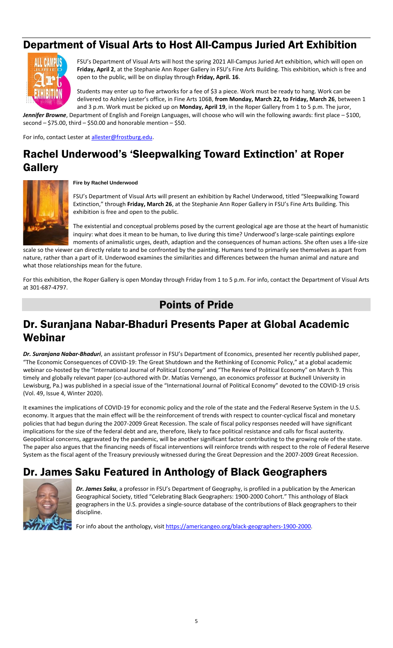# Department of Visual Arts to Host All-Campus Juried Art Exhibition



FSU's Department of Visual Arts will host the spring 2021 All-Campus Juried Art exhibition, which will open on **Friday, April 2**, at the Stephanie Ann Roper Gallery in FSU's Fine Arts Building. This exhibition, which is free and open to the public, will be on display through **Friday, April. 16**.

Students may enter up to five artworks for a fee of \$3 a piece. Work must be ready to hang. Work can be delivered to Ashley Lester's office, in Fine Arts 106B, **from Monday, March 22, to Friday, March 26**, between 1 and 3 p.m. Work must be picked up on **Monday, April 19**, in the Roper Gallery from 1 to 5 p.m. The juror,

*Jennifer Browne*, Department of English and Foreign Languages, will choose who will win the following awards: first place – \$100, second  $-$  \$75.00, third  $-$  \$50.00 and honorable mention  $-$  \$50.

For info, contact Lester at allester@frostburg.edu.

# Rachel Underwood's 'Sleepwalking Toward Extinction' at Roper Gallery



#### **Fire by Rachel Underwood**

FSU's Department of Visual Arts will present an exhibition by Rachel Underwood, titled "Sleepwalking Toward Extinction," through **Friday, March 26**, at the Stephanie Ann Roper Gallery in FSU's Fine Arts Building. This exhibition is free and open to the public.

The existential and conceptual problems posed by the current geological age are those at the heart of humanistic inquiry: what does it mean to be human, to live during this time? Underwood's large-scale paintings explore moments of animalistic urges, death, adaption and the consequences of human actions. She often uses a life-size

scale so the viewer can directly relate to and be confronted by the painting. Humans tend to primarily see themselves as apart from nature, rather than a part of it. Underwood examines the similarities and differences between the human animal and nature and what those relationships mean for the future.

For this exhibition, the Roper Gallery is open Monday through Friday from 1 to 5 p.m. For info, contact the Department of Visual Arts at 301-687-4797.

### Points of Pride

## Dr. Suranjana Nabar-Bhaduri Presents Paper at Global Academic Webinar

*Dr. Suranjana Nabar-Bhaduri*, an assistant professor in FSU's Department of Economics, presented her recently published paper, "The Economic Consequences of COVID-19: The Great Shutdown and the Rethinking of Economic Policy," at a global academic webinar co-hosted by the "International Journal of Political Economy" and "The Review of Political Economy" on March 9. This timely and globally relevant paper (co-authored with Dr. Matías Vernengo, an economics professor at Bucknell University in Lewisburg, Pa.) was published in a special issue of the "International Journal of Political Economy" devoted to the COVID-19 crisis (Vol. 49, Issue 4, Winter 2020).

It examines the implications of COVID-19 for economic policy and the role of the state and the Federal Reserve System in the U.S. economy. It argues that the main effect will be the reinforcement of trends with respect to counter-cyclical fiscal and monetary policies that had begun during the 2007-2009 Great Recession. The scale of fiscal policy responses needed will have significant implications for the size of the federal debt and are, therefore, likely to face political resistance and calls for fiscal austerity. Geopolitical concerns, aggravated by the pandemic, will be another significant factor contributing to the growing role of the state. The paper also argues that the financing needs of fiscal interventions will reinforce trends with respect to the role of Federal Reserve System as the fiscal agent of the Treasury previously witnessed during the Great Depression and the 2007-2009 Great Recession.

# Dr. James Saku Featured in Anthology of Black Geographers



*Dr. James Saku*, a professor in FSU's Department of Geography, is profiled in a publication by the American Geographical Society, titled "Celebrating Black Geographers: 1900-2000 Cohort." This anthology of Black geographers in the U.S. provides a single-source database of the contributions of Black geographers to their discipline.

For info about the anthology, visi[t https://americangeo.org/black-geographers-1900-2000.](https://americangeo.org/black-geographers-1900-2000)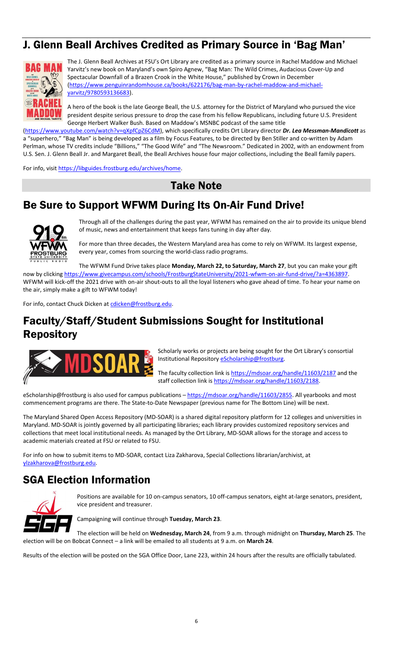# J. Glenn Beall Archives Credited as Primary Source in 'Bag Man'



The J. Glenn Beall Archives at FSU's Ort Library are credited as a primary source in Rachel Maddow and Michael Yarvitz's new book on Maryland's own Spiro Agnew, "Bag Man: The Wild Crimes, Audacious Cover-Up and Spectacular Downfall of a Brazen Crook in the White House," published by Crown in December [\(https://www.penguinrandomhouse.ca/books/622176/bag-man-by-rachel-maddow-and-michael](https://www.penguinrandomhouse.ca/books/622176/bag-man-by-rachel-maddow-and-michael-yarvitz/9780593136683)[yarvitz/9780593136683\)](https://www.penguinrandomhouse.ca/books/622176/bag-man-by-rachel-maddow-and-michael-yarvitz/9780593136683).

A hero of the book is the late George Beall, the U.S. attorney for the District of Maryland who pursued the vice president despite serious pressure to drop the case from his fellow Republicans, including future U.S. President George Herbert Walker Bush. Based on Maddow's MSNBC podcast of the same title

[\(https://www.youtube.com/watch?v=qXpfCpZ6CdM\)](https://www.youtube.com/watch?v=qXpfCpZ6CdM), which specifically credits Ort Library director *Dr. Lea Messman-Mandicott* as a "superhero," "Bag Man" is being developed as a film by Focus Features, to be directed by Ben Stiller and co-written by Adam Perlman, whose TV credits include "Billions," "The Good Wife" and "The Newsroom." Dedicated in 2002, with an endowment from U.S. Sen. J. Glenn Beall Jr. and Margaret Beall, the Beall Archives house four major collections, including the Beall family papers.

For info, visit [https://libguides.frostburg.edu/archives/home.](https://libguides.frostburg.edu/archives/home)

### Take Note

# Be Sure to Support WFWM During Its On-Air Fund Drive!



Through all of the challenges during the past year, WFWM has remained on the air to provide its unique blend of music, news and entertainment that keeps fans tuning in day after day.

For more than three decades, the Western Maryland area has come to rely on WFWM. Its largest expense, every year, comes from sourcing the world-class radio programs.

The WFWM Fund Drive takes place **Monday, March 22, to Saturday, March 27**, but you can make your gift now by clicking [https://www.givecampus.com/schools/FrostburgStateUniversity/2021-wfwm-on-air-fund-drive/?a=4363897.](https://www.givecampus.com/schools/FrostburgStateUniversity/2021-wfwm-on-air-fund-drive/?a=4363897) WFWM will kick-off the 2021 drive with on-air shout-outs to all the loyal listeners who gave ahead of time. To hear your name on the air, simply make a gift to WFWM today!

For info, contact Chuck Dicken at [cdicken@frostburg.edu.](mailto:cdicken@frostburg.edu)

## Faculty/Staff/Student Submissions Sought for Institutional Repository



Scholarly works or projects are being sought for the Ort Library's consortial Institutional Repositor[y eScholarship@frostburg.](https://mdsoar.org/handle/11603/1)

The faculty collection link is<https://mdsoar.org/handle/11603/2187> and the staff collection link i[s https://mdsoar.org/handle/11603/2188.](https://mdsoar.org/handle/11603/2188)

eScholarship@frostburg is also used for campus publications - [https://mdsoar.org/handle/11603/2855.](https://mdsoar.org/handle/11603/2855) All yearbooks and most commencement programs are there. The State-to-Date Newspaper (previous name for The Bottom Line) will be next.

The Maryland Shared Open Access Repository (MD-SOAR) is a shared digital repository platform for 12 colleges and universities in Maryland. MD-SOAR is jointly governed by all participating libraries; each library provides customized repository services and collections that meet local institutional needs. As managed by the Ort Library, MD-SOAR allows for the storage and access to academic materials created at FSU or related to FSU.

For info on how to submit items to MD-SOAR, contact Liza Zakharova, Special Collections librarian/archivist, at [ylzakharova@frostburg.edu.](mailto:ylzakharova@frostburg.edu)

# SGA Election Information



Positions are available for 10 on-campus senators, 10 off-campus senators, eight at-large senators, president, vice president and treasurer.

Campaigning will continue through **Tuesday, March 23**.

The election will be held on **Wednesday, March 24**, from 9 a.m. through midnight on **Thursday, March 25**. The election will be on Bobcat Connect – a link will be emailed to all students at 9 a.m. on **March 24**.

Results of the election will be posted on the SGA Office Door, Lane 223, within 24 hours after the results are officially tabulated.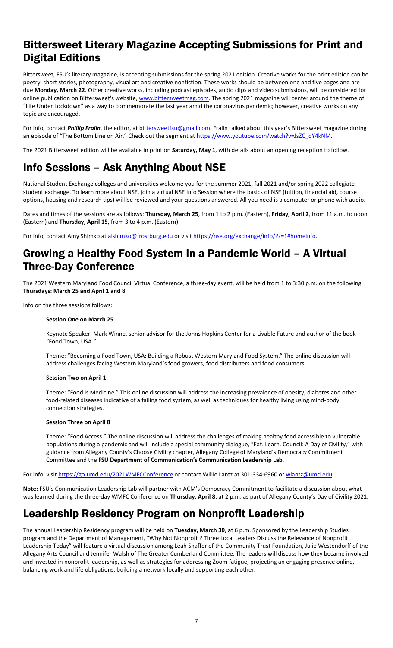# Bittersweet Literary Magazine Accepting Submissions for Print and Digital Editions

Bittersweet, FSU's literary magazine, is accepting submissions for the spring 2021 edition. Creative works for the print edition can be poetry, short stories, photography, visual art and creative nonfiction. These works should be between one and five pages and are due **Monday, March 22**. Other creative works, including podcast episodes, audio clips and video submissions, will be considered for online publication on Bittersweet's website[, www.bittersweetmag.com.](http://www.bittersweetmag.com/) The spring 2021 magazine will center around the theme of "Life Under Lockdown" as a way to commemorate the last year amid the coronavirus pandemic; however, creative works on any topic are encouraged.

For info, contact *Phillip Fralin*, the editor, at **bittersweetfsu@gmail.com**. Fralin talked about this year's Bittersweet magazine during an episode of "The Bottom Line on Air." Check out the segment at https://www.youtube.com/watch?v=JsZC\_dY4kNM.

The 2021 Bittersweet edition will be available in print on **Saturday, May 1**, with details about an opening reception to follow.

# Info Sessions – Ask Anything About NSE

National Student Exchange colleges and universities welcome you for the summer 2021, fall 2021 and/or spring 2022 collegiate student exchange. To learn more about NSE, join a virtual NSE Info Session where the basics of NSE (tuition, financial aid, course options, housing and research tips) will be reviewed and your questions answered. All you need is a computer or phone with audio.

Dates and times of the sessions are as follows: **Thursday, March 25**, from 1 to 2 p.m. (Eastern), **Friday, April 2**, from 11 a.m. to noon (Eastern) and **Thursday, April 15**, from 3 to 4 p.m. (Eastern).

For info, contact Amy Shimko at [alshimko@frostburg.edu](mailto:alshimko@frostburg.edu) or visit [https://nse.org/exchange/info/?z=1#homeinfo.](https://nse.org/exchange/info/?z=1#homeinfo)

### Growing a Healthy Food System in a Pandemic World – A Virtual Three-Day Conference

The 2021 Western Maryland Food Council Virtual Conference, a three-day event, will be held from 1 to 3:30 p.m. on the following **Thursdays: March 25 and April 1 and 8**.

Info on the three sessions follows:

#### **Session One on March 25**

Keynote Speaker: Mark Winne, senior advisor for the Johns Hopkins Center for a Livable Future and author of the book "Food Town, USA."

Theme: "Becoming a Food Town, USA: Building a Robust Western Maryland Food System." The online discussion will address challenges facing Western Maryland's food growers, food distributers and food consumers.

#### **Session Two on April 1**

Theme: "Food is Medicine." This online discussion will address the increasing prevalence of obesity, diabetes and other food-related diseases indicative of a failing food system, as well as techniques for healthy living using mind-body connection strategies.

#### **Session Three on April 8**

Theme: "Food Access." The online discussion will address the challenges of making healthy food accessible to vulnerable populations during a pandemic and will include a special community dialogue, "Eat. Learn. Council: A Day of Civility," with guidance from Allegany County's Choose Civility chapter, Allegany College of Maryland's Democracy Commitment Committee and the **FSU Department of Communication's Communication Leadership Lab**.

For info, visit<https://go.umd.edu/2021WMFCConference> or contact Willie Lantz at 301-334-6960 o[r wlantz@umd.edu.](mailto:wlantz@umd.edu)

**Note:** FSU's Communication Leadership Lab will partner with ACM's Democracy Commitment to facilitate a discussion about what was learned during the three-day WMFC Conference on **Thursday, April 8**, at 2 p.m. as part of Allegany County's Day of Civility 2021.

## Leadership Residency Program on Nonprofit Leadership

The annual Leadership Residency program will be held on **Tuesday, March 30**, at 6 p.m. Sponsored by the Leadership Studies program and the Department of Management, "Why Not Nonprofit? Three Local Leaders Discuss the Relevance of Nonprofit Leadership Today" will feature a virtual discussion among Leah Shaffer of the Community Trust Foundation, Julie Westendorff of the Allegany Arts Council and Jennifer Walsh of The Greater Cumberland Committee. The leaders will discuss how they became involved and invested in nonprofit leadership, as well as strategies for addressing Zoom fatigue, projecting an engaging presence online, balancing work and life obligations, building a network locally and supporting each other.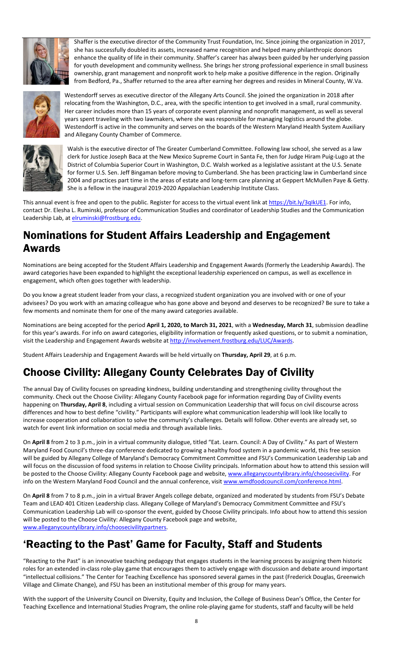

Shaffer is the executive director of the Community Trust Foundation, Inc. Since joining the organization in 2017, she has successfully doubled its assets, increased name recognition and helped many philanthropic donors enhance the quality of life in their community. Shaffer's career has always been guided by her underlying passion for youth development and community wellness. She brings her strong professional experience in small business ownership, grant management and nonprofit work to help make a positive difference in the region. Originally from Bedford, Pa., Shaffer returned to the area after earning her degrees and resides in Mineral County, W.Va.



Westendorff serves as executive director of the Allegany Arts Council. She joined the organization in 2018 after relocating from the Washington, D.C., area, with the specific intention to get involved in a small, rural community. Her career includes more than 15 years of corporate event planning and nonprofit management, as well as several years spent traveling with two lawmakers, where she was responsible for managing logistics around the globe. Westendorff is active in the community and serves on the boards of the Western Maryland Health System Auxiliary and Allegany County Chamber of Commerce.



Walsh is the executive director of The Greater Cumberland Committee. Following law school, she served as a law clerk for Justice Joseph Baca at the New Mexico Supreme Court in Santa Fe, then for Judge Hiram Puig-Lugo at the District of Columbia Superior Court in Washington, D.C. Walsh worked as a legislative assistant at the U.S. Senate for former U.S. Sen. Jeff Bingaman before moving to Cumberland. She has been practicing law in Cumberland since 2004 and practices part time in the areas of estate and long-term care planning at Geppert McMullen Paye & Getty. She is a fellow in the inaugural 2019-2020 Appalachian Leadership Institute Class.

This annual event is free and open to the public. Register for access to the virtual event link at https://bit.ly/3qlkUE1. For info, contact Dr. Elesha L. Ruminski, professor of Communication Studies and coordinator of Leadership Studies and the Communication Leadership Lab, at [elruminski@frostburg.edu.](mailto:elruminski@frostburg.edu)

# Nominations for Student Affairs Leadership and Engagement Awards

Nominations are being accepted for the Student Affairs Leadership and Engagement Awards (formerly the Leadership Awards). The award categories have been expanded to highlight the exceptional leadership experienced on campus, as well as excellence in engagement, which often goes together with leadership.

Do you know a great student leader from your class, a recognized student organization you are involved with or one of your advisees? Do you work with an amazing colleague who has gone above and beyond and deserves to be recognized? Be sure to take a few moments and nominate them for one of the many award categories available.

Nominations are being accepted for the period **April 1, 2020, to March 31, 2021**, with a **Wednesday, March 31**, submission deadline for this year's awards. For info on award categories, eligibility information or frequently asked questions, or to submit a nomination, visit the Leadership and Engagement Awards website at [http://involvement.frostburg.edu/LUC/Awards.](http://involvement.frostburg.edu/LUC/Awards)

Student Affairs Leadership and Engagement Awards will be held virtually on **Thursday, April 29**, at 6 p.m.

# Choose Civility: Allegany County Celebrates Day of Civility

The annual Day of Civility focuses on spreading kindness, building understanding and strengthening civility throughout the community. Check out the Choose Civility: Allegany County Facebook page for information regarding Day of Civility events happening on **Thursday, April 8**, including a virtual session on Communication Leadership that will focus on civil discourse across differences and how to best define "civility." Participants will explore what communication leadership will look like locally to increase cooperation and collaboration to solve the community's challenges. Details will follow. Other events are already set, so watch for event link information on social media and through available links.

On **April 8** from 2 to 3 p.m., join in a virtual community dialogue, titled "Eat. Learn. Council: A Day of Civility." As part of Western Maryland Food Council's three-day conference dedicated to growing a healthy food system in a pandemic world, this free session will be guided by Allegany College of Maryland's Democracy Commitment Committee and FSU's Communication Leadership Lab and will focus on the discussion of food systems in relation to Choose Civility principals. Information about how to attend this session will be posted to the Choose Civility: Allegany County Facebook page and website, [www.alleganycountylibrary.info/choosecivility.](http://www.alleganycountylibrary.info/choosecivility) For info on the Western Maryland Food Council and the annual conference, visit www.wmdfoodcouncil.com/conference.html.

On **April 8** from 7 to 8 p.m., join in a virtual Braver Angels college debate, organized and moderated by students from FSU's Debate Team and LEAD 401 Citizen Leadership class. Allegany College of Maryland's Democracy Commitment Committee and FSU's Communication Leadership Lab will co-sponsor the event, guided by Choose Civility principals. Info about how to attend this session will be posted to the Choose Civility: Allegany County Facebook page and website, [www.alleganycountylibrary.info/choosecivilitypartners.](http://www.alleganycountylibrary.info/choosecivilitypartners)

# 'Reacting to the Past' Game for Faculty, Staff and Students

"Reacting to the Past" is an innovative teaching pedagogy that engages students in the learning process by assigning them historic roles for an extended in-class role-play game that encourages them to actively engage with discussion and debate around important "intellectual collisions." The Center for Teaching Excellence has sponsored several games in the past (Frederick Douglas, Greenwich Village and Climate Change), and FSU has been an institutional member of this group for many years.

With the support of the University Council on Diversity, Equity and Inclusion, the College of Business Dean's Office, the Center for Teaching Excellence and International Studies Program, the online role-playing game for students, staff and faculty will be held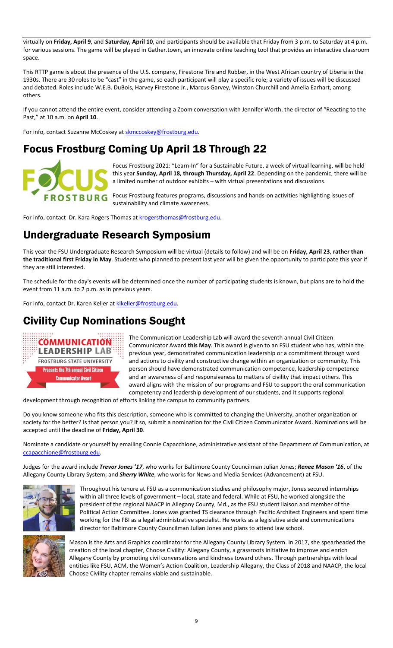virtually on **Friday, April 9**, and **Saturday, April 10**, and participants should be available that Friday from 3 p.m. to Saturday at 4 p.m. for various sessions. The game will be played in Gather.town, an innovate online teaching tool that provides an interactive classroom space.

This RTTP game is about the presence of the U.S. company, Firestone Tire and Rubber, in the West African country of Liberia in the 1930s. There are 30 roles to be "cast" in the game, so each participant will play a specific role; a variety of issues will be discussed and debated. Roles include W.E.B. DuBois, Harvey Firestone Jr., Marcus Garvey, Winston Churchill and Amelia Earhart, among others.

If you cannot attend the entire event, consider attending a Zoom conversation with Jennifer Worth, the director of "Reacting to the Past," at 10 a.m. on **April 10**.

For info, contact Suzanne McCoskey a[t skmccoskey@frostburg.edu.](mailto:skmccoskey@frostburg.edu)

# Focus Frostburg Coming Up April 18 Through 22



Focus Frostburg 2021: "Learn-In" for a Sustainable Future, a week of virtual learning, will be held this year **Sunday, April 18, through Thursday, April 22**. Depending on the pandemic, there will be a limited number of outdoor exhibits – with virtual presentations and discussions.

Focus Frostburg features programs, discussions and hands-on activities highlighting issues of sustainability and climate awareness.

For info, contact Dr. Kara Rogers Thomas at [krogersthomas@frostburg.edu.](mailto:krogersthomas@frostburg.edu)

# Undergraduate Research Symposium

This year the FSU Undergraduate Research Symposium will be virtual (details to follow) and will be on **Friday, April 23**, **rather than the traditional first Friday in May**. Students who planned to present last year will be given the opportunity to participate this year if they are still interested.

The schedule for the day's events will be determined once the number of participating students is known, but plans are to hold the event from 11 a.m. to 2 p.m. as in previous years.

For info, contact Dr. Karen Keller at klkeller@frostburg.edu.

# Civility Cup Nominations Sought



The Communication Leadership Lab will award the seventh annual Civil Citizen Communicator Award **this May**. This award is given to an FSU student who has, within the previous year, demonstrated communication leadership or a commitment through word and actions to civility and constructive change within an organization or community. This person should have demonstrated communication competence, leadership competence and an awareness of and responsiveness to matters of civility that impact others. This award aligns with the mission of our programs and FSU to support the oral communication competency and leadership development of our students, and it supports regional

development through recognition of efforts linking the campus to community partners.

Do you know someone who fits this description, someone who is committed to changing the University, another organization or society for the better? Is that person you? If so, submit a nomination for the Civil Citizen Communicator Award. Nominations will be accepted until the deadline of **Friday, April 30**.

Nominate a candidate or yourself by emailing Connie Capacchione, administrative assistant of the Department of Communication, at [ccapacchione@frostburg.edu.](mailto:ccapacchione@frostburg.edu)

Judges for the award include *Trevor Jones '17*, who works for Baltimore County Councilman Julian Jones; *Renee Mason '16*, of the Allegany County Library System; and *Sherry White*, who works for News and Media Services (Advancement) at FSU.



Throughout his tenure at FSU as a communication studies and philosophy major, Jones secured internships within all three levels of government – local, state and federal. While at FSU, he worked alongside the president of the regional NAACP in Allegany County, Md., as the FSU student liaison and member of the Political Action Committee. Jones was granted TS clearance through Pacific Architect Engineers and spent time working for the FBI as a legal administrative specialist. He works as a legislative aide and communications director for Baltimore County Councilman Julian Jones and plans to attend law school.



Mason is the Arts and Graphics coordinator for the Allegany County Library System. In 2017, she spearheaded the creation of the local chapter, Choose Civility: Allegany County, a grassroots initiative to improve and enrich Allegany County by promoting civil conversations and kindness toward others. Through partnerships with local entities like FSU, ACM, the Women's Action Coalition, Leadership Allegany, the Class of 2018 and NAACP, the local Choose Civility chapter remains viable and sustainable.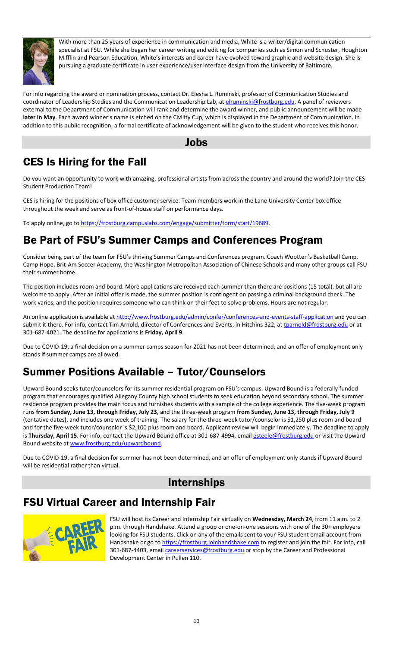

With more than 25 years of experience in communication and media, White is a writer/digital communication specialist at FSU. While she began her career writing and editing for companies such as Simon and Schuster, Houghton Mifflin and Pearson Education, White's interests and career have evolved toward graphic and website design. She is pursuing a graduate certificate in user experience/user interface design from the University of Baltimore.

For info regarding the award or nomination process, contact Dr. Elesha L. Ruminski, professor of Communication Studies and coordinator of Leadership Studies and the Communication Leadership Lab, a[t elruminski@frostburg.edu.](mailto:elruminski@frostburg.edu) A panel of reviewers external to the Department of Communication will rank and determine the award winner, and public announcement will be made **later in May**. Each award winner's name is etched on the Civility Cup, which is displayed in the Department of Communication. In addition to this public recognition, a formal certificate of acknowledgement will be given to the student who receives this honor.

#### Jobs

# CES Is Hiring for the Fall

Do you want an opportunity to work with amazing, professional artists from across the country and around the world? Join the CES Student Production Team!

CES is hiring for the positions of box office customer service. Team members work in the Lane University Center box office throughout the week and serve as front-of-house staff on performance days.

To apply online, go to [https://frostburg.campuslabs.com/engage/submitter/form/start/19689.](https://frostburg.campuslabs.com/engage/submitter/form/start/19689)

# Be Part of FSU's Summer Camps and Conferences Program

Consider being part of the team for FSU's thriving Summer Camps and Conferences program. Coach Wootten's Basketball Camp, Camp Hope, Brit-Am Soccer Academy, the Washington Metropolitan Association of Chinese Schools and many other groups call FSU their summer home.

The position includes room and board. More applications are received each summer than there are positions (15 total), but all are welcome to apply. After an initial offer is made, the summer position is contingent on passing a criminal background check. The work varies, and the position requires someone who can think on their feet to solve problems. Hours are not regular.

An online application is available a[t http://www.frostburg.edu/admin/confer/conferences-and-events-staff-application](http://www.frostburg.edu/admin/confer/conferences-and-events-staff-application) and you can submit it there. For info, contact Tim Arnold, director of Conferences and Events, in Hitchins 322, at [tparnold@frostburg.edu](mailto:tparnold@frostburg.edu) or at 301-687-4021. The deadline for applications is **Friday, April 9**.

Due to COVID-19, a final decision on a summer camps season for 2021 has not been determined, and an offer of employment only stands if summer camps are allowed.

# Summer Positions Available – Tutor/Counselors

Upward Bound seeks tutor/counselors for its summer residential program on FSU's campus. Upward Bound is a federally funded program that encourages qualified Allegany County high school students to seek education beyond secondary school. The summer residence program provides the main focus and furnishes students with a sample of the college experience. The five-week program runs **from Sunday, June 13, through Friday, July 23**, and the three-week program **from Sunday, June 13, through Friday, July 9** (tentative dates), and includes one week of training. The salary for the three-week tutor/counselor is \$1,250 plus room and board and for the five-week tutor/counselor is \$2,100 plus room and board. Applicant review will begin immediately. The deadline to apply is Thursday, April 15. For info, contact the Upward Bound office at 301-687-4994, emai[l esteele@frostburg.edu](mailto:esteele@frostburg.edu) or visit the Upward Bound website a[t www.frostburg.edu/upwardbound.](http://www.frostburg.edu/upwardbound) 

Due to COVID-19, a final decision for summer has not been determined, and an offer of employment only stands if Upward Bound will be residential rather than virtual.

# Internships

# FSU Virtual Career and Internship Fair



FSU will host its Career and Internship Fair virtually on **Wednesday, March 24**, from 11 a.m. to 2 p.m. through Handshake. Attend a group or one-on-one sessions with one of the 30+ employers looking for FSU students. Click on any of the emails sent to your FSU student email account from Handshake or go t[o https://frostburg.joinhandshake.com](https://frostburg.joinhandshake.com/) to register and join the fair. For info, call 301-687-4403, email *careerservices@frostburg.edu* or stop by the Career and Professional Development Center in Pullen 110.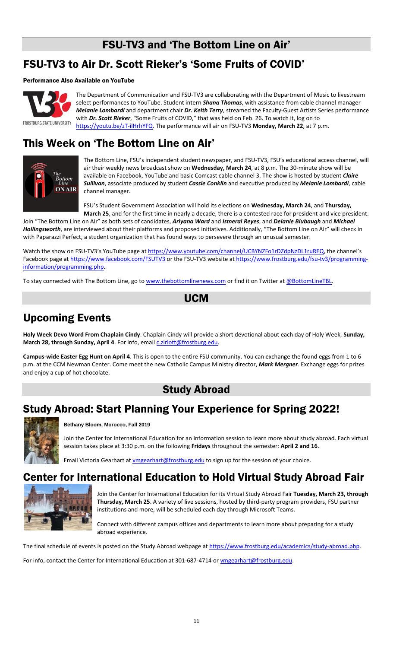# FSU-TV3 and 'The Bottom Line on Air'

# FSU-TV3 to Air Dr. Scott Rieker's 'Some Fruits of COVID'

#### Performance Also Available on YouTube



The Department of Communication and FSU-TV3 are collaborating with the Department of Music to livestream select performances to YouTube. Student intern *Shana Thomas*, with assistance from cable channel manager *Melanie Lombardi* and department chair *Dr. Keith Terry*, streamed the Faculty-Guest Artists Series performance with *Dr. Scott Rieker*, "Some Fruits of COVID," that was held on Feb. 26. To watch it, log on to [https://youtu.be/zT-ilHrhYFQ.](https://youtu.be/zT-ilHrhYFQ) The performance will air on FSU-TV3 **Monday, March 22**, at 7 p.m.

# This Week on 'The Bottom Line on Air'



The Bottom Line, FSU's independent student newspaper, and FSU-TV3, FSU's educational access channel, will air their weekly news broadcast show on **Wednesday, March 24**, at 8 p.m. The 30-minute show will be available on Facebook, YouTube and basic Comcast cable channel 3. The show is hosted by student *Claire Sullivan*, associate produced by student *Cassie Conklin* and executive produced by *Melanie Lombardi*, cable channel manager.

FSU's Student Government Association will hold its elections on **Wednesday, March 24**, and **Thursday, March 25**, and for the first time in nearly a decade, there is a contested race for president and vice president.

Join "The Bottom Line on Air" as both sets of candidates, *Ariyana Ward* and *Ismerai Reyes*, and *Delanie Blubaugh* and *Michael Hollingsworth*, are interviewed about their platforms and proposed initiatives. Additionally, "The Bottom Line on Air" will check in with Paparazzi Perfect, a student organization that has found ways to persevere through an unusual semester.

Watch the show on FSU-TV3's YouTube page at <https://www.youtube.com/channel/UCBYNZFo1rDZdpNzDL1ruREQ>, the channel's Facebook page a[t https://www.facebook.com/FSUTV3](https://www.facebook.com/FSUTV3) or the FSU-TV3 website at [https://www.frostburg.edu/fsu-tv3/programming](https://www.frostburg.edu/fsu-tv3/programming-information/programming.php)[information/programming.php.](https://www.frostburg.edu/fsu-tv3/programming-information/programming.php)

To stay connected with The Bottom Line, go t[o www.thebottomlinenews.com](http://www.thebottomlinenews.com/) or find it on Twitter at [@BottomLineTBL.](https://twitter.com/BottomLineTBL)

### UCM

# Upcoming Events

**Holy Week Devo Word From Chaplain Cindy**. Chaplain Cindy will provide a short devotional about each day of Holy Week, **Sunday,**  March 28, through Sunday, April 4. For info, email *c.zirlott@frostburg.edu.* 

**Campus-wide Easter Egg Hunt on April 4**. This is open to the entire FSU community. You can exchange the found eggs from 1 to 6 p.m. at the CCM Newman Center. Come meet the new Catholic Campus Ministry director, *Mark Mergner*. Exchange eggs for prizes and enjoy a cup of hot chocolate.

### Study Abroad

# Study Abroad: Start Planning Your Experience for Spring 2022!



**Bethany Bloom, Morocco, Fall 2019**

Join the Center for International Education for an information session to learn more about study abroad. Each virtual session takes place at 3:30 p.m. on the following **Fridays** throughout the semester: **April 2 and 16**.

Email Victoria Gearhart at *vmgearhart@frostburg.edu* to sign up for the session of your choice.

# Center for International Education to Hold Virtual Study Abroad Fair



Join the Center for International Education for its Virtual Study Abroad Fair **Tuesday, March 23, through Thursday, March 25**. A variety of live sessions, hosted by third-party program providers, FSU partner institutions and more, will be scheduled each day through Microsoft Teams.

Connect with different campus offices and departments to learn more about preparing for a study abroad experience.

The final schedule of events is posted on the Study Abroad webpage at [https://www.frostburg.edu/academics/study-abroad.php.](https://www.frostburg.edu/academics/study-abroad.php)

For info, contact the Center for International Education at 301-687-4714 or [vmgearhart@frostburg.edu.](mailto:vmgearhart@frostburg.edu)